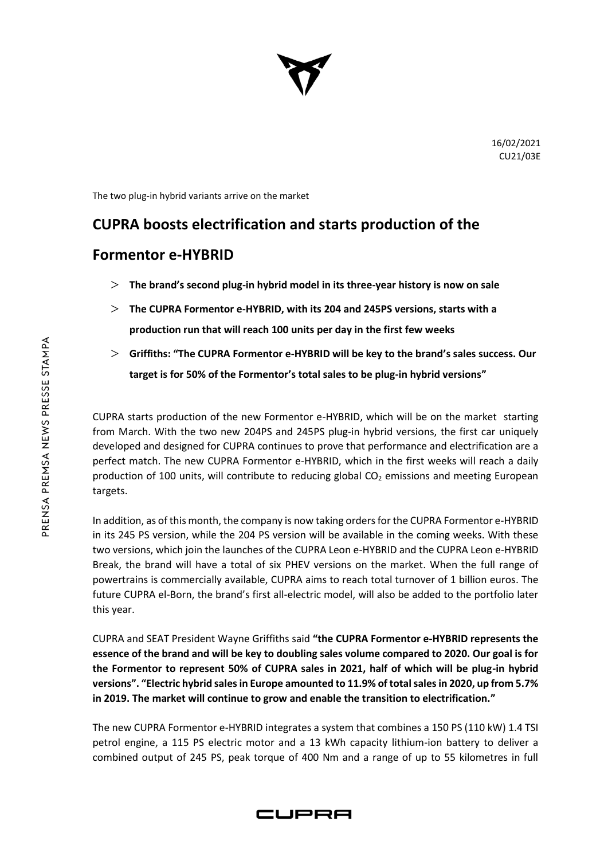

The two plug-in hybrid variants arrive on the market

## **CUPRA boosts electrification and starts production of the**

## **Formentor e-HYBRID**

- **The brand's second plug-in hybrid model in its three-year history is now on sale**
- **The CUPRA Formentor e-HYBRID, with its 204 and 245PS versions, starts with a production run that will reach 100 units per day in the first few weeks**
- **Griffiths: "The CUPRA Formentor e-HYBRID will be key to the brand's sales success. Our target is for 50% of the Formentor's total sales to be plug-in hybrid versions"**

CUPRA starts production of the new Formentor e-HYBRID, which will be on the market starting from March. With the two new 204PS and 245PS plug-in hybrid versions, the first car uniquely developed and designed for CUPRA continues to prove that performance and electrification are a perfect match. The new CUPRA Formentor e-HYBRID, which in the first weeks will reach a daily production of 100 units, will contribute to reducing global  $CO<sub>2</sub>$  emissions and meeting European targets.

In addition, as of this month, the company is now taking orders for the CUPRA Formentor e-HYBRID in its 245 PS version, while the 204 PS version will be available in the coming weeks. With these two versions, which join the launches of the CUPRA Leon e-HYBRID and the CUPRA Leon e-HYBRID Break, the brand will have a total of six PHEV versions on the market. When the full range of powertrains is commercially available, CUPRA aims to reach total turnover of 1 billion euros. The future CUPRA el-Born, the brand's first all-electric model, will also be added to the portfolio later this year.

CUPRA and SEAT President Wayne Griffiths said **"the CUPRA Formentor e-HYBRID represents the essence of the brand and will be key to doubling sales volume compared to 2020. Our goal is for the Formentor to represent 50% of CUPRA sales in 2021, half of which will be plug-in hybrid versions". "Electric hybrid sales in Europe amounted to 11.9% of total sales in 2020, up from 5.7% in 2019. The market will continue to grow and enable the transition to electrification."**

The new CUPRA Formentor e-HYBRID integrates a system that combines a 150 PS (110 kW) 1.4 TSI petrol engine, a 115 PS electric motor and a 13 kWh capacity lithium-ion battery to deliver a combined output of 245 PS, peak torque of 400 Nm and a range of up to 55 kilometres in full